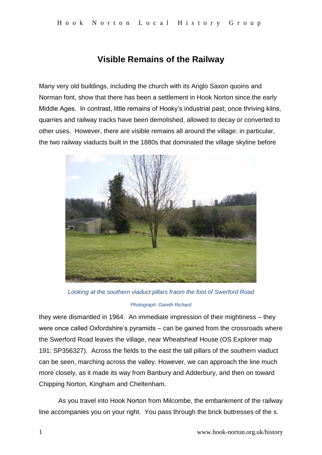# **Visible Remains of the Railway**

Many very old buildings, including the church with its Anglo Saxon quoins and Norman font, show that there has been a settlement in Hook Norton since the early Middle Ages. In contrast, little remains of Hooky's industrial past; once thriving kilns, quarries and railway tracks have been demolished, allowed to decay or converted to other uses. However, there are visible remains all around the village: in particular, the two railway viaducts built in the 1880s that dominated the village skyline before



*Looking at the southern viaduct pillars fraom the foot of Swerford Road*

### *Photograph: Gareth Richard*

they were dismantled in 1964. An immediate impression of their mightiness – they were once called Oxfordshire's pyramids – can be gained from the crossroads where the Swerford Road leaves the village, near Wheatsheaf House (OS Explorer map 191: SP356327). Across the fields to the east the tall pillars of the southern viaduct can be seen, marching across the valley. However, we can approach the line much more closely, as it made its way from Banbury and Adderbury, and then on toward Chipping Norton, Kingham and Cheltenham.

As you travel into Hook Norton from Milcombe, the embankment of the railway line accompanies you on your right. You pass through the brick buttresses of the s.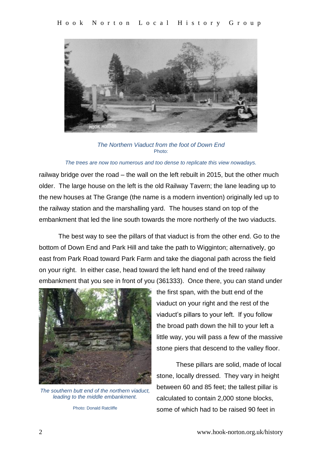

*The Northern Viaduct from the foot of Down End* Photo:

#### *The trees are now too numerous and too dense to replicate this view nowadays.*

railway bridge over the road – the wall on the left rebuilt in 2015, but the other much older. The large house on the left is the old Railway Tavern; the lane leading up to the new houses at The Grange (the name is a modern invention) originally led up to the railway station and the marshalling yard. The houses stand on top of the embankment that led the line south towards the more northerly of the two viaducts.

The best way to see the pillars of that viaduct is from the other end. Go to the bottom of Down End and Park Hill and take the path to Wigginton; alternatively, go east from Park Road toward Park Farm and take the diagonal path across the field on your right. In either case, head toward the left hand end of the treed railway embankment that you see in front of you (361333). Once there, you can stand under



*The southern butt end of the northern viaduct, leading to the middle embankment.*

Photo: Donald Ratcliffe

the first span, with the butt end of the viaduct on your right and the rest of the viaduct's pillars to your left. If you follow the broad path down the hill to your left a little way, you will pass a few of the massive stone piers that descend to the valley floor.

These pillars are solid, made of local stone, locally dressed. They vary in height between 60 and 85 feet; the tallest pillar is calculated to contain 2,000 stone blocks, some of which had to be raised 90 feet in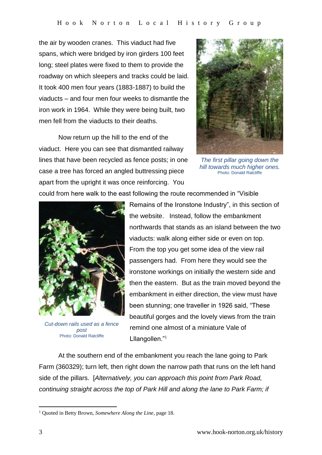the air by wooden cranes. This viaduct had five spans, which were bridged by iron girders 100 feet long; steel plates were fixed to them to provide the roadway on which sleepers and tracks could be laid. It took 400 men four years (1883-1887) to build the viaducts – and four men four weeks to dismantle the iron work in 1964. While they were being built, two men fell from the viaducts to their deaths.

Now return up the hill to the end of the viaduct. Here you can see that dismantled railway lines that have been recycled as fence posts; in one case a tree has forced an angled buttressing piece apart from the upright it was once reinforcing. You



*The first pillar going down the hill towards much higher ones.* Photo: Donald Ratcliffe

could from here walk to the east following the route recommended in "Visible



*Cut-down rails used as a fence post* Photo: Donald Ratcliffe

Remains of the Ironstone Industry", in this section of the website. Instead, follow the embankment northwards that stands as an island between the two viaducts: walk along either side or even on top. From the top you get some idea of the view rail passengers had. From here they would see the ironstone workings on initially the western side and then the eastern. But as the train moved beyond the embankment in either direction, the view must have been stunning; one traveller in 1926 said, "These beautiful gorges and the lovely views from the train remind one almost of a miniature Vale of Lllangollen."<sup>1</sup>

At the southern end of the embankment you reach the lane going to Park Farm (360329); turn left, then right down the narrow path that runs on the left hand side of the pillars. [*Alternatively, you can approach this point from Park Road, continuing straight across the top of Park Hill and along the lane to Park Farm; if* 

1

<sup>1</sup> Quoted in Betty Brown, *Somewhere Along the Line*, page 18.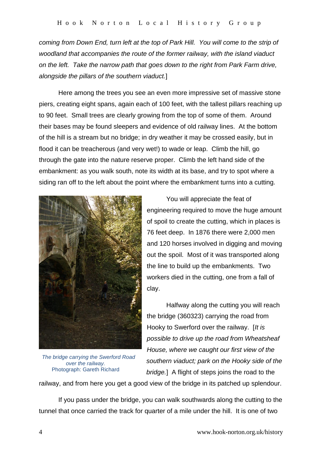*coming from Down End, turn left at the top of Park Hill. You will come to the strip of woodland that accompanies the route of the former railway, with the island viaduct on the left. Take the narrow path that goes down to the right from Park Farm drive, alongside the pillars of the southern viaduct.*]

Here among the trees you see an even more impressive set of massive stone piers, creating eight spans, again each of 100 feet, with the tallest pillars reaching up to 90 feet. Small trees are clearly growing from the top of some of them. Around their bases may be found sleepers and evidence of old railway lines. At the bottom of the hill is a stream but no bridge; in dry weather it may be crossed easily, but in flood it can be treacherous (and very wet!) to wade or leap. Climb the hill, go through the gate into the nature reserve proper. Climb the left hand side of the embankment: as you walk south, note its width at its base, and try to spot where a siding ran off to the left about the point where the embankment turns into a cutting.



 *The bridge carrying the Swerford Road over the railway.* Photograph: Gareth Richard

You will appreciate the feat of engineering required to move the huge amount of spoil to create the cutting, which in places is 76 feet deep. In 1876 there were 2,000 men and 120 horses involved in digging and moving out the spoil. Most of it was transported along the line to build up the embankments. Two workers died in the cutting, one from a fall of clay.

Halfway along the cutting you will reach the bridge (360323) carrying the road from Hooky to Swerford over the railway. [*It is possible to drive up the road from Wheatsheaf House, where we caught our first view of the southern viaduct; park on the Hooky side of the bridge.*] A flight of steps joins the road to the

railway, and from here you get a good view of the bridge in its patched up splendour.

If you pass under the bridge, you can walk southwards along the cutting to the tunnel that once carried the track for quarter of a mile under the hill. It is one of two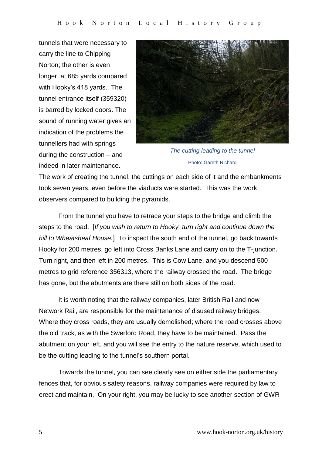tunnels that were necessary to carry the line to Chipping Norton; the other is even longer, at 685 yards compared with Hooky's 418 yards. The tunnel entrance itself (359320) is barred by locked doors. The sound of running water gives an indication of the problems the tunnellers had with springs during the construction – and indeed in later maintenance.



*The cutting leading to the tunnel* Photo: Gareth Richard

The work of creating the tunnel, the cuttings on each side of it and the embankments took seven years, even before the viaducts were started. This was the work observers compared to building the pyramids.

From the tunnel you have to retrace your steps to the bridge and climb the steps to the road. [*If you wish to return to Hooky, turn right and continue down the hill to Wheatsheaf House.*] To inspect the south end of the tunnel, go back towards Hooky for 200 metres, go left into Cross Banks Lane and carry on to the T-junction. Turn right, and then left in 200 metres. This is Cow Lane, and you descend 500 metres to grid reference 356313, where the railway crossed the road. The bridge has gone, but the abutments are there still on both sides of the road.

It is worth noting that the railway companies, later British Rail and now Network Rail, are responsible for the maintenance of disused railway bridges. Where they cross roads, they are usually demolished; where the road crosses above the old track, as with the Swerford Road, they have to be maintained. Pass the abutment on your left, and you will see the entry to the nature reserve, which used to be the cutting leading to the tunnel's southern portal.

Towards the tunnel, you can see clearly see on either side the parliamentary fences that, for obvious safety reasons, railway companies were required by law to erect and maintain. On your right, you may be lucky to see another section of GWR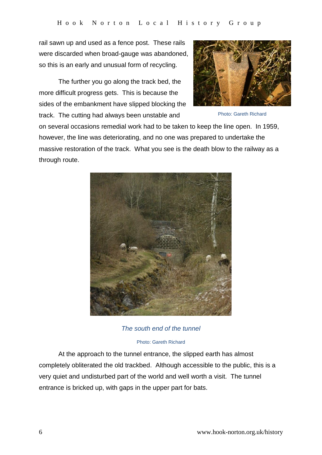rail sawn up and used as a fence post. These rails were discarded when broad-gauge was abandoned, so this is an early and unusual form of recycling.

The further you go along the track bed, the more difficult progress gets. This is because the sides of the embankment have slipped blocking the track. The cutting had always been unstable and



Photo: Gareth Richard

on several occasions remedial work had to be taken to keep the line open. In 1959, however, the line was deteriorating, and no one was prepared to undertake the massive restoration of the track. What you see is the death blow to the railway as a through route.



*The south end of the tunnel*

#### Photo: Gareth Richard

At the approach to the tunnel entrance, the slipped earth has almost completely obliterated the old trackbed. Although accessible to the public, this is a very quiet and undisturbed part of the world and well worth a visit. The tunnel entrance is bricked up, with gaps in the upper part for bats.